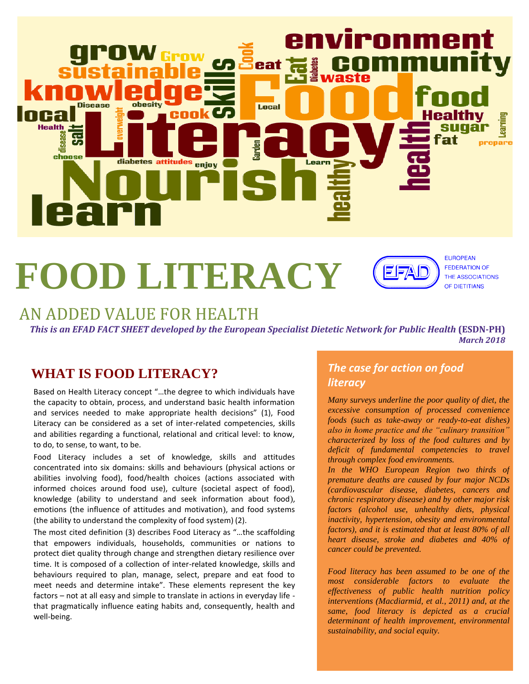

# **FOOD LITERACY**

5 | S

**EUROPEAN FEDERATION OF** THE ASSOCIATIONS OF DIETITIANS

## AN ADDED VALUE FOR HEALTH

*This is an EFAD FACT SHEET developed by the European Specialist Dietetic Network for Public Health* **(ESDN-PH)** *March 2018* 

## **WHAT IS FOOD LITERACY?**

Based on Health Literacy concept "…the degree to which individuals have the capacity to obtain, process, and understand basic health information and services needed to make appropriate health decisions" (1), Food Literacy can be considered as a set of inter-related competencies, skills and abilities regarding a functional, relational and critical level: to know, to do, to sense, to want, to be.

Food Literacy includes a set of knowledge, skills and attitudes concentrated into six domains: skills and behaviours (physical actions or abilities involving food), food/health choices (actions associated with informed choices around food use), culture (societal aspect of food), knowledge (ability to understand and seek information about food), emotions (the influence of attitudes and motivation), and food systems (the ability to understand the complexity of food system) (2).

The most cited definition (3) describes Food Literacy as "…the scaffolding that empowers individuals, households, communities or nations to protect diet quality through change and strengthen dietary resilience over time. It is composed of a collection of inter-related knowledge, skills and behaviours required to plan, manage, select, prepare and eat food to meet needs and determine intake". These elements represent the key factors – not at all easy and simple to translate in actions in everyday life that pragmatically influence eating habits and, consequently, health and well-being.

#### *The case for action on food literacy*

*Many surveys underline the poor quality of diet, the excessive consumption of processed convenience foods (such as take-away or ready-to-eat dishes) also in home practice and the "culinary transition" characterized by loss of the food cultures and by deficit of fundamental competencies to travel through complex food environments.*

*In the WHO European Region two thirds of premature deaths are caused by four major NCDs (cardiovascular disease, diabetes, cancers and chronic respiratory disease) and by other major risk factors (alcohol use, unhealthy diets, physical inactivity, hypertension, obesity and environmental factors), and it is estimated that at least 80% of all heart disease, stroke and diabetes and 40% of cancer could be prevented.* 

*Food literacy has been assumed to be one of the most considerable factors to evaluate the effectiveness of public health nutrition policy interventions (Macdiarmid, et al., 2011) and, at the same, food literacy is depicted as a crucial determinant of health improvement, environmental sustainability, and social equity.*